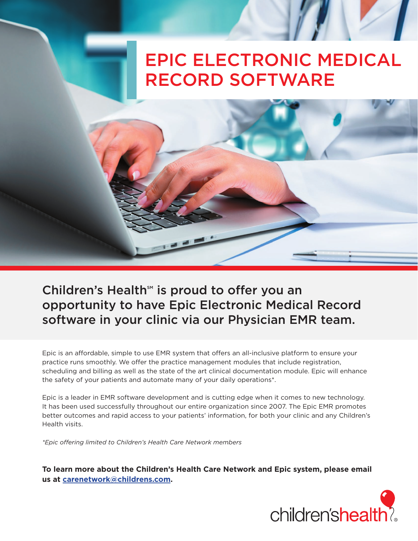## EPIC ELECTRONIC MEDICAL RECORD SOFTWARE

Children's Health<sup>sM</sup> is proud to offer you an opportunity to have Epic Electronic Medical Record software in your clinic via our Physician EMR team.

Epic is an affordable, simple to use EMR system that offers an all-inclusive platform to ensure your practice runs smoothly. We offer the practice management modules that include registration, scheduling and billing as well as the state of the art clinical documentation module. Epic will enhance the safety of your patients and automate many of your daily operations\*.

Epic is a leader in EMR software development and is cutting edge when it comes to new technology. It has been used successfully throughout our entire organization since 2007. The Epic EMR promotes better outcomes and rapid access to your patients' information, for both your clinic and any Children's Health visits.

*\*Epic offering limited to Children's Health Care Network members*

**To learn more about the Children's Health Care Network and Epic system, please email us at [carenetwork@childrens.com.](mailto:carenetwork@childrens.com?subject=custom subject)**